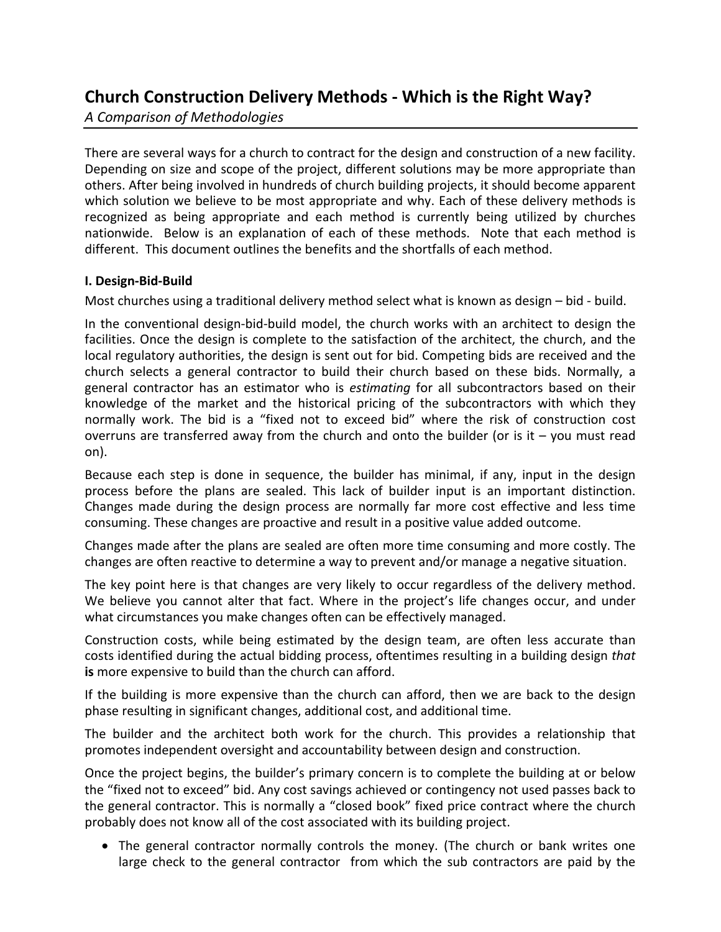# **Church Construction Delivery Methods ‐ Which is the Right Way?**

*A Comparison of Methodologies*

There are several ways for a church to contract for the design and construction of a new facility. Depending on size and scope of the project, different solutions may be more appropriate than others. After being involved in hundreds of church building projects, it should become apparent which solution we believe to be most appropriate and why. Each of these delivery methods is recognized as being appropriate and each method is currently being utilized by churches nationwide. Below is an explanation of each of these methods. Note that each method is different. This document outlines the benefits and the shortfalls of each method.

## **I. Design‐Bid‐Build**

Most churches using a traditional delivery method select what is known as design – bid ‐ build.

In the conventional design‐bid‐build model, the church works with an architect to design the facilities. Once the design is complete to the satisfaction of the architect, the church, and the local regulatory authorities, the design is sent out for bid. Competing bids are received and the church selects a general contractor to build their church based on these bids. Normally, a general contractor has an estimator who is *estimating* for all subcontractors based on their knowledge of the market and the historical pricing of the subcontractors with which they normally work. The bid is a "fixed not to exceed bid" where the risk of construction cost overruns are transferred away from the church and onto the builder (or is it  $-$  you must read on).

Because each step is done in sequence, the builder has minimal, if any, input in the design process before the plans are sealed. This lack of builder input is an important distinction. Changes made during the design process are normally far more cost effective and less time consuming. These changes are proactive and result in a positive value added outcome.

Changes made after the plans are sealed are often more time consuming and more costly. The changes are often reactive to determine a way to prevent and/or manage a negative situation.

The key point here is that changes are very likely to occur regardless of the delivery method. We believe you cannot alter that fact. Where in the project's life changes occur, and under what circumstances you make changes often can be effectively managed.

Construction costs, while being estimated by the design team, are often less accurate than costs identified during the actual bidding process, oftentimes resulting in a building design *that* **is** more expensive to build than the church can afford.

If the building is more expensive than the church can afford, then we are back to the design phase resulting in significant changes, additional cost, and additional time.

The builder and the architect both work for the church. This provides a relationship that promotes independent oversight and accountability between design and construction.

Once the project begins, the builder's primary concern is to complete the building at or below the "fixed not to exceed" bid. Any cost savings achieved or contingency not used passes back to the general contractor. This is normally a "closed book" fixed price contract where the church probably does not know all of the cost associated with its building project.

• The general contractor normally controls the money. (The church or bank writes one large check to the general contractor from which the sub contractors are paid by the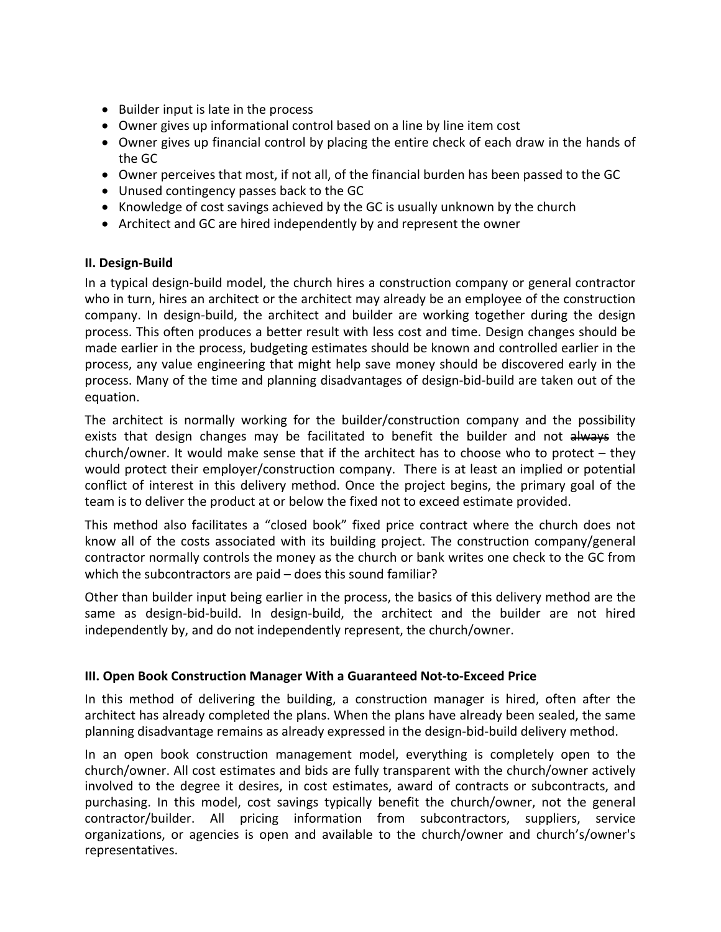- Builder input is late in the process
- Owner gives up informational control based on a line by line item cost
- Owner gives up financial control by placing the entire check of each draw in the hands of the GC
- Owner perceives that most, if not all, of the financial burden has been passed to the GC
- Unused contingency passes back to the GC
- Knowledge of cost savings achieved by the GC is usually unknown by the church
- Architect and GC are hired independently by and represent the owner

#### **II. Design‐Build**

In a typical design‐build model, the church hires a construction company or general contractor who in turn, hires an architect or the architect may already be an employee of the construction company. In design-build, the architect and builder are working together during the design process. This often produces a better result with less cost and time. Design changes should be made earlier in the process, budgeting estimates should be known and controlled earlier in the process, any value engineering that might help save money should be discovered early in the process. Many of the time and planning disadvantages of design‐bid‐build are taken out of the equation.

The architect is normally working for the builder/construction company and the possibility exists that design changes may be facilitated to benefit the builder and not always the church/owner. It would make sense that if the architect has to choose who to protect – they would protect their employer/construction company. There is at least an implied or potential conflict of interest in this delivery method. Once the project begins, the primary goal of the team is to deliver the product at or below the fixed not to exceed estimate provided.

This method also facilitates a "closed book" fixed price contract where the church does not know all of the costs associated with its building project. The construction company/general contractor normally controls the money as the church or bank writes one check to the GC from which the subcontractors are paid – does this sound familiar?

Other than builder input being earlier in the process, the basics of this delivery method are the same as design-bid-build. In design-build, the architect and the builder are not hired independently by, and do not independently represent, the church/owner.

#### **III. Open Book Construction Manager With a Guaranteed Not‐to‐Exceed Price**

In this method of delivering the building, a construction manager is hired, often after the architect has already completed the plans. When the plans have already been sealed, the same planning disadvantage remains as already expressed in the design‐bid‐build delivery method.

In an open book construction management model, everything is completely open to the church/owner. All cost estimates and bids are fully transparent with the church/owner actively involved to the degree it desires, in cost estimates, award of contracts or subcontracts, and purchasing. In this model, cost savings typically benefit the church/owner, not the general contractor/builder. All pricing information from subcontractors, suppliers, service organizations, or agencies is open and available to the church/owner and church's/owner's representatives.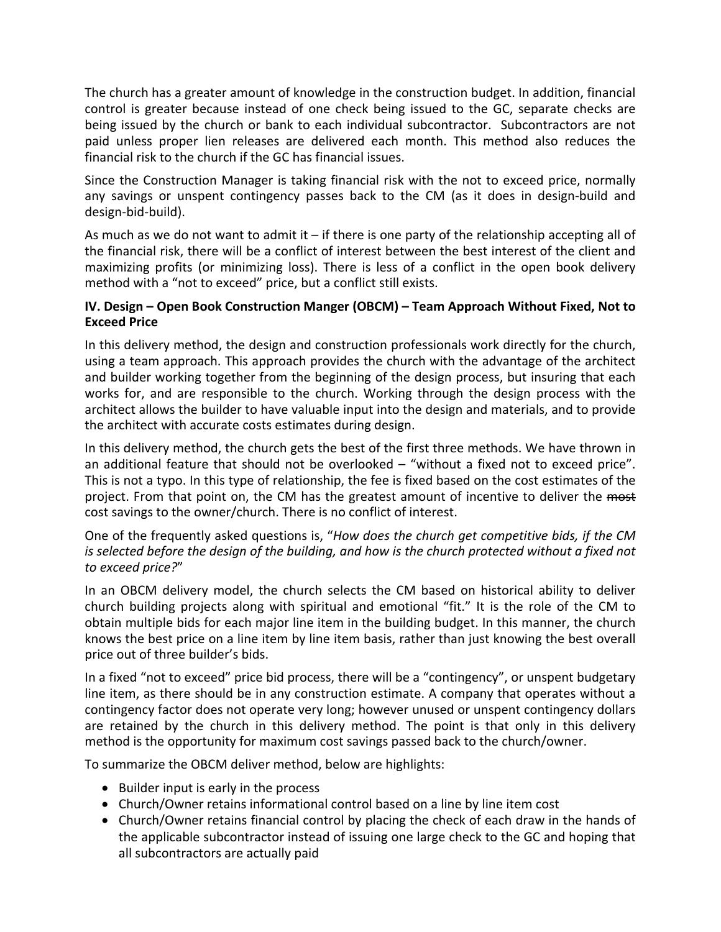The church has a greater amount of knowledge in the construction budget. In addition, financial control is greater because instead of one check being issued to the GC, separate checks are being issued by the church or bank to each individual subcontractor. Subcontractors are not paid unless proper lien releases are delivered each month. This method also reduces the financial risk to the church if the GC has financial issues.

Since the Construction Manager is taking financial risk with the not to exceed price, normally any savings or unspent contingency passes back to the CM (as it does in design-build and design‐bid‐build).

As much as we do not want to admit it  $-$  if there is one party of the relationship accepting all of the financial risk, there will be a conflict of interest between the best interest of the client and maximizing profits (or minimizing loss). There is less of a conflict in the open book delivery method with a "not to exceed" price, but a conflict still exists.

### **IV. Design – Open Book Construction Manger (OBCM) – Team Approach Without Fixed, Not to Exceed Price**

In this delivery method, the design and construction professionals work directly for the church, using a team approach. This approach provides the church with the advantage of the architect and builder working together from the beginning of the design process, but insuring that each works for, and are responsible to the church. Working through the design process with the architect allows the builder to have valuable input into the design and materials, and to provide the architect with accurate costs estimates during design.

In this delivery method, the church gets the best of the first three methods. We have thrown in an additional feature that should not be overlooked – "without a fixed not to exceed price". This is not a typo. In this type of relationship, the fee is fixed based on the cost estimates of the project. From that point on, the CM has the greatest amount of incentive to deliver the most cost savings to the owner/church. There is no conflict of interest.

One of the frequently asked questions is, "*How does the church get competitive bids, if the CM is selected before the design of the building, and how is the church protected without a fixed not to exceed price?*"

In an OBCM delivery model, the church selects the CM based on historical ability to deliver church building projects along with spiritual and emotional "fit." It is the role of the CM to obtain multiple bids for each major line item in the building budget. In this manner, the church knows the best price on a line item by line item basis, rather than just knowing the best overall price out of three builder's bids.

In a fixed "not to exceed" price bid process, there will be a "contingency", or unspent budgetary line item, as there should be in any construction estimate. A company that operates without a contingency factor does not operate very long; however unused or unspent contingency dollars are retained by the church in this delivery method. The point is that only in this delivery method is the opportunity for maximum cost savings passed back to the church/owner.

To summarize the OBCM deliver method, below are highlights:

- Builder input is early in the process
- Church/Owner retains informational control based on a line by line item cost
- Church/Owner retains financial control by placing the check of each draw in the hands of the applicable subcontractor instead of issuing one large check to the GC and hoping that all subcontractors are actually paid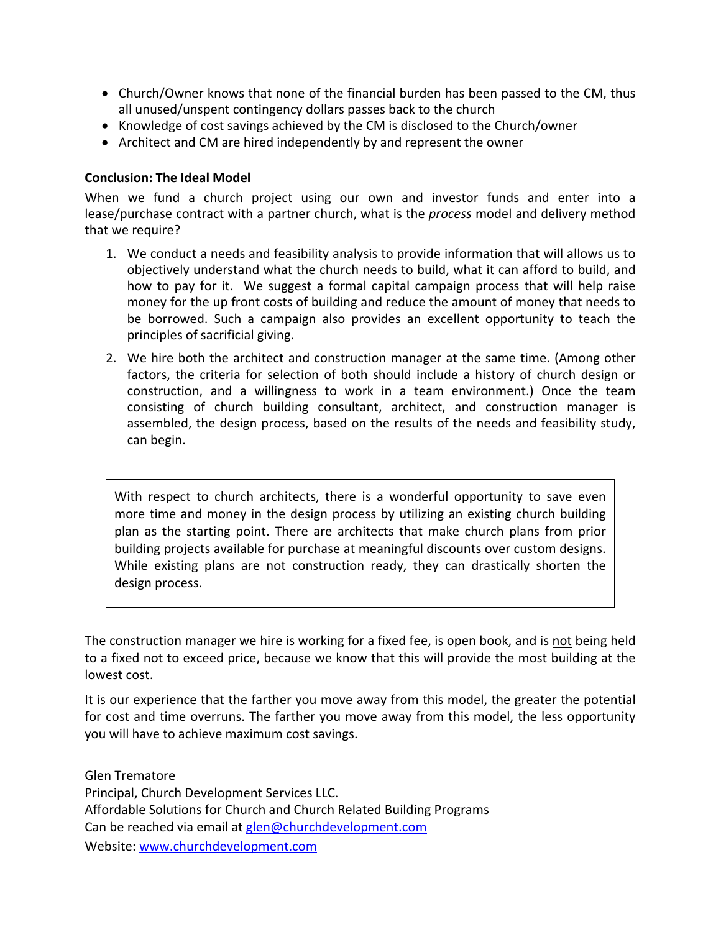- Church/Owner knows that none of the financial burden has been passed to the CM, thus all unused/unspent contingency dollars passes back to the church
- Knowledge of cost savings achieved by the CM is disclosed to the Church/owner
- Architect and CM are hired independently by and represent the owner

### **Conclusion: The Ideal Model**

When we fund a church project using our own and investor funds and enter into a lease/purchase contract with a partner church, what is the *process* model and delivery method that we require?

- 1. We conduct a needs and feasibility analysis to provide information that will allows us to objectively understand what the church needs to build, what it can afford to build, and how to pay for it. We suggest a formal capital campaign process that will help raise money for the up front costs of building and reduce the amount of money that needs to be borrowed. Such a campaign also provides an excellent opportunity to teach the principles of sacrificial giving.
- 2. We hire both the architect and construction manager at the same time. (Among other factors, the criteria for selection of both should include a history of church design or construction, and a willingness to work in a team environment.) Once the team consisting of church building consultant, architect, and construction manager is assembled, the design process, based on the results of the needs and feasibility study, can begin.

With respect to church architects, there is a wonderful opportunity to save even more time and money in the design process by utilizing an existing church building plan as the starting point. There are architects that make church plans from prior building projects available for purchase at meaningful discounts over custom designs. While existing plans are not construction ready, they can drastically shorten the design process.

The construction manager we hire is working for a fixed fee, is open book, and is not being held to a fixed not to exceed price, because we know that this will provide the most building at the lowest cost.

It is our experience that the farther you move away from this model, the greater the potential for cost and time overruns. The farther you move away from this model, the less opportunity you will have to achieve maximum cost savings.

Glen Trematore Principal, Church Development Services LLC. Affordable Solutions for Church and Church Related Building Programs Can be reached via email at [glen@churchdevelopment.com](mailto:glen@churchdevelopment.com) Website: [www.churchdevelopment.com](http://www.churchdevelopment.com/)